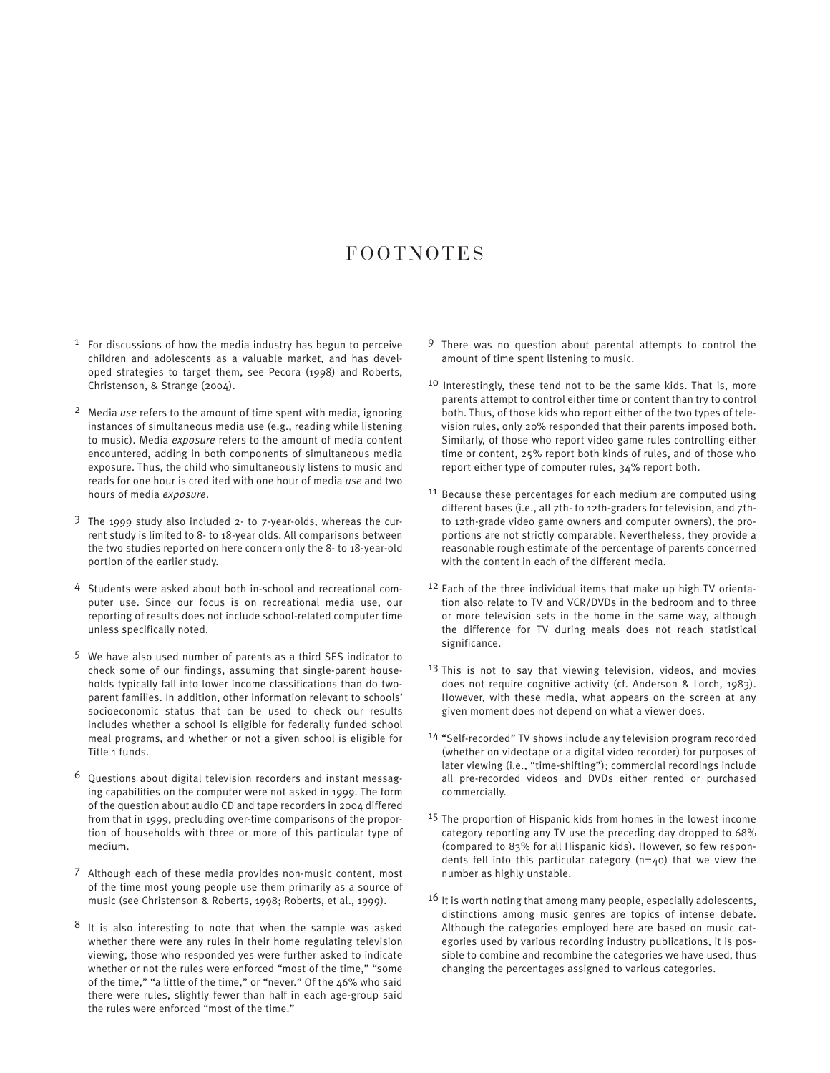## F O O T N O T E S

- $1$  For discussions of how the media industry has begun to perceive children and adolescents as a valuable market, and has developed strategies to target them, see Pecora (1998) and Roberts, Christenson, & Strange (2004).
- 2 Media *use* refers to the amount of time spent with media, ignoring instances of simultaneous media use (e.g., reading while listening to music). Media *exposure* refers to the amount of media content encountered, adding in both components of simultaneous media exposure. Thus, the child who simultaneously listens to music and reads for one hour is cred ited with one hour of media *use* and two hours of media *exposure*.
- 3 The 1999 study also included 2- to 7-year-olds, whereas the current study is limited to 8- to 18-year olds. All comparisons between the two studies reported on here concern only the 8- to 18-year-old portion of the earlier study.
- 4 Students were asked about both in-school and recreational computer use. Since our focus is on recreational media use, our reporting of results does not include school-related computer time unless specifically noted.
- 5 We have also used number of parents as a third SES indicator to check some of our findings, assuming that single-parent households typically fall into lower income classifications than do twoparent families. In addition, other information relevant to schools' socioeconomic status that can be used to check our results includes whether a school is eligible for federally funded school meal programs, and whether or not a given school is eligible for Title 1 funds.
- $6$  Questions about digital television recorders and instant messaging capabilities on the computer were not asked in 1999. The form of the question about audio CD and tape recorders in 2004 differed from that in 1999, precluding over-time comparisons of the proportion of households with three or more of this particular type of medium.
- 7 Although each of these media provides non-music content, most of the time most young people use them primarily as a source of music (see Christenson & Roberts, 1998; Roberts, et al., 1999).
- 8 It is also interesting to note that when the sample was asked whether there were any rules in their home regulating television viewing, those who responded yes were further asked to indicate whether or not the rules were enforced "most of the time," "some of the time," "a little of the time," or "never." Of the 46% who said there were rules, slightly fewer than half in each age-group said the rules were enforced "most of the time."
- 9 There was no question about parental attempts to control the amount of time spent listening to music.
- 10 Interestingly, these tend not to be the same kids. That is, more parents attempt to control either time or content than try to control both. Thus, of those kids who report either of the two types of television rules, only 20% responded that their parents imposed both. Similarly, of those who report video game rules controlling either time or content, 25% report both kinds of rules, and of those who report either type of computer rules, 34% report both.
- <sup>11</sup> Because these percentages for each medium are computed using different bases (i.e., all 7th- to 12th-graders for television, and 7thto 12th-grade video game owners and computer owners), the proportions are not strictly comparable. Nevertheless, they provide a reasonable rough estimate of the percentage of parents concerned with the content in each of the different media.
- 12 Each of the three individual items that make up high TV orientation also relate to TV and VCR/DVDs in the bedroom and to three or more television sets in the home in the same way, although the difference for TV during meals does not reach statistical significance.
- <sup>13</sup> This is not to say that viewing television, videos, and movies does not require cognitive activity (cf. Anderson & Lorch, 1983). However, with these media, what appears on the screen at any given moment does not depend on what a viewer does.
- 14 "Self-recorded" TV shows include any television program recorded (whether on videotape or a digital video recorder) for purposes of later viewing (i.e., "time-shifting"); commercial recordings include all pre-recorded videos and DVDs either rented or purchased commercially.
- 15 The proportion of Hispanic kids from homes in the lowest income category reporting any TV use the preceding day dropped to 68% (compared to 83% for all Hispanic kids). However, so few respondents fell into this particular category (n=40) that we view the number as highly unstable.
- <sup>16</sup> It is worth noting that among many people, especially adolescents, distinctions among music genres are topics of intense debate. Although the categories employed here are based on music categories used by various recording industry publications, it is possible to combine and recombine the categories we have used, thus changing the percentages assigned to various categories.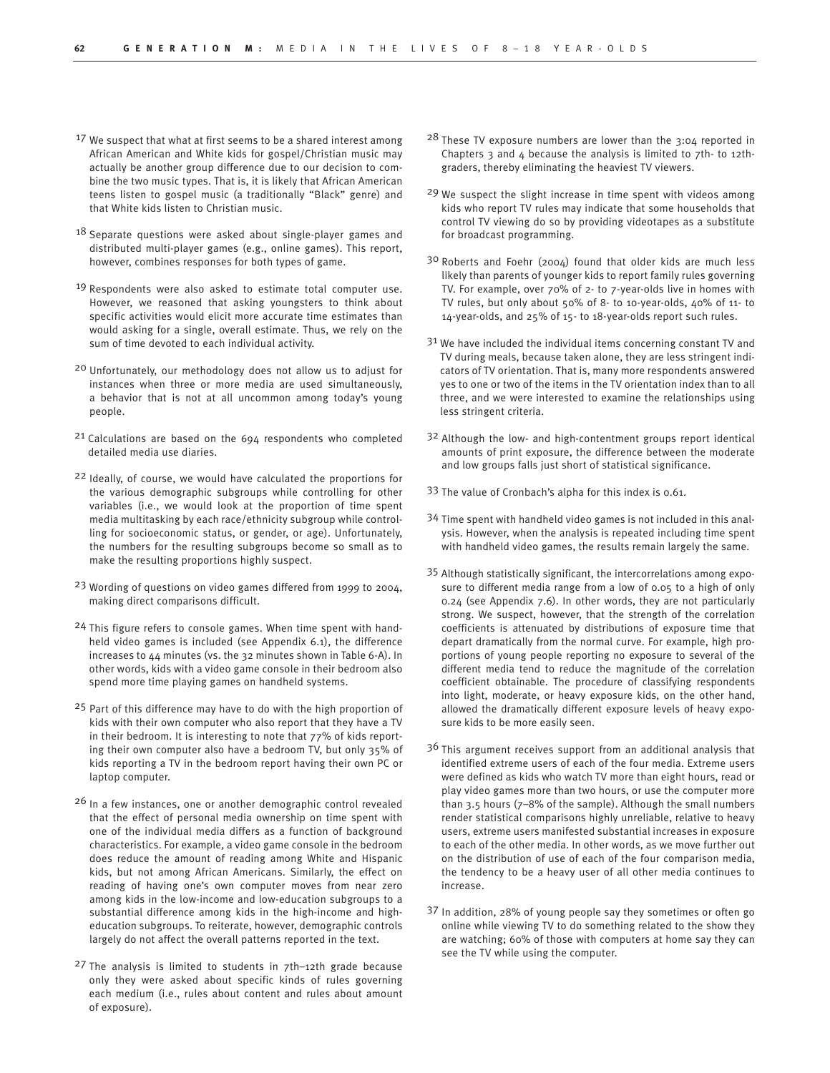- 17 We suspect that what at first seems to be a shared interest among African American and White kids for gospel/Christian music may actually be another group difference due to our decision to combine the two music types. That is, it is likely that African American teens listen to gospel music (a traditionally "Black" genre) and that White kids listen to Christian music.
- <sup>18</sup> Separate questions were asked about single-player games and distributed multi-player games (e.g., online games). This report, however, combines responses for both types of game.
- <sup>19</sup> Respondents were also asked to estimate total computer use. However, we reasoned that asking youngsters to think about specific activities would elicit more accurate time estimates than would asking for a single, overall estimate. Thus, we rely on the sum of time devoted to each individual activity.
- 20 Unfortunately, our methodology does not allow us to adjust for instances when three or more media are used simultaneously, a behavior that is not at all uncommon among today's young people.
- 21 Calculations are based on the 694 respondents who completed detailed media use diaries.
- 22 Ideally, of course, we would have calculated the proportions for the various demographic subgroups while controlling for other variables (i.e., we would look at the proportion of time spent media multitasking by each race/ethnicity subgroup while controlling for socioeconomic status, or gender, or age). Unfortunately, the numbers for the resulting subgroups become so small as to make the resulting proportions highly suspect.
- 23 Wording of questions on video games differed from 1999 to 2004, making direct comparisons difficult.
- 24 This figure refers to console games. When time spent with handheld video games is included (see Appendix 6.1), the difference increases to 44 minutes (vs. the 32 minutes shown in Table 6-A). In other words, kids with a video game console in their bedroom also spend more time playing games on handheld systems.
- <sup>25</sup> Part of this difference may have to do with the high proportion of kids with their own computer who also report that they have a TV in their bedroom. It is interesting to note that 77% of kids reporting their own computer also have a bedroom TV, but only 35% of kids reporting a TV in the bedroom report having their own PC or laptop computer.
- <sup>26</sup> In a few instances, one or another demographic control revealed that the effect of personal media ownership on time spent with one of the individual media differs as a function of background characteristics. For example, a video game console in the bedroom does reduce the amount of reading among White and Hispanic kids, but not among African Americans. Similarly, the effect on reading of having one's own computer moves from near zero among kids in the low-income and low-education subgroups to a substantial difference among kids in the high-income and higheducation subgroups. To reiterate, however, demographic controls largely do not affect the overall patterns reported in the text.
- $27$  The analysis is limited to students in  $7$ th-12th grade because only they were asked about specific kinds of rules governing each medium (i.e., rules about content and rules about amount of exposure).
- 28 These TV exposure numbers are lower than the 3:04 reported in Chapters  $3$  and  $4$  because the analysis is limited to  $7$ th- to 12thgraders, thereby eliminating the heaviest TV viewers.
- 29 We suspect the slight increase in time spent with videos among kids who report TV rules may indicate that some households that control TV viewing do so by providing videotapes as a substitute for broadcast programming.
- 30 Roberts and Foehr (2004) found that older kids are much less likely than parents of younger kids to report family rules governing TV. For example, over 70% of 2- to 7-year-olds live in homes with TV rules, but only about 50% of 8- to 10-year-olds, 40% of 11- to 14-year-olds, and 25% of 15- to 18-year-olds report such rules.
- 31 We have included the individual items concerning constant TV and TV during meals, because taken alone, they are less stringent indicators of TV orientation. That is, many more respondents answered yes to one or two of the items in the TV orientation index than to all three, and we were interested to examine the relationships using less stringent criteria.
- 32 Although the low- and high-contentment groups report identical amounts of print exposure, the difference between the moderate and low groups falls just short of statistical significance.
- 33 The value of Cronbach's alpha for this index is 0.61.
- 34 Time spent with handheld video games is not included in this analysis. However, when the analysis is repeated including time spent with handheld video games, the results remain largely the same.
- 35 Although statistically significant, the intercorrelations among exposure to different media range from a low of 0.05 to a high of only 0.24 (see Appendix 7.6). In other words, they are not particularly strong. We suspect, however, that the strength of the correlation coefficients is attenuated by distributions of exposure time that depart dramatically from the normal curve. For example, high proportions of young people reporting no exposure to several of the different media tend to reduce the magnitude of the correlation coefficient obtainable. The procedure of classifying respondents into light, moderate, or heavy exposure kids, on the other hand, allowed the dramatically different exposure levels of heavy exposure kids to be more easily seen.
- 3<sup>6</sup> This argument receives support from an additional analysis that identified extreme users of each of the four media. Extreme users were defined as kids who watch TV more than eight hours, read or play video games more than two hours, or use the computer more than 3.5 hours (7–8% of the sample). Although the small numbers render statistical comparisons highly unreliable, relative to heavy users, extreme users manifested substantial increases in exposure to each of the other media. In other words, as we move further out on the distribution of use of each of the four comparison media, the tendency to be a heavy user of all other media continues to increase.
- 37 In addition, 28% of young people say they sometimes or often go online while viewing TV to do something related to the show they are watching; 60% of those with computers at home say they can see the TV while using the computer.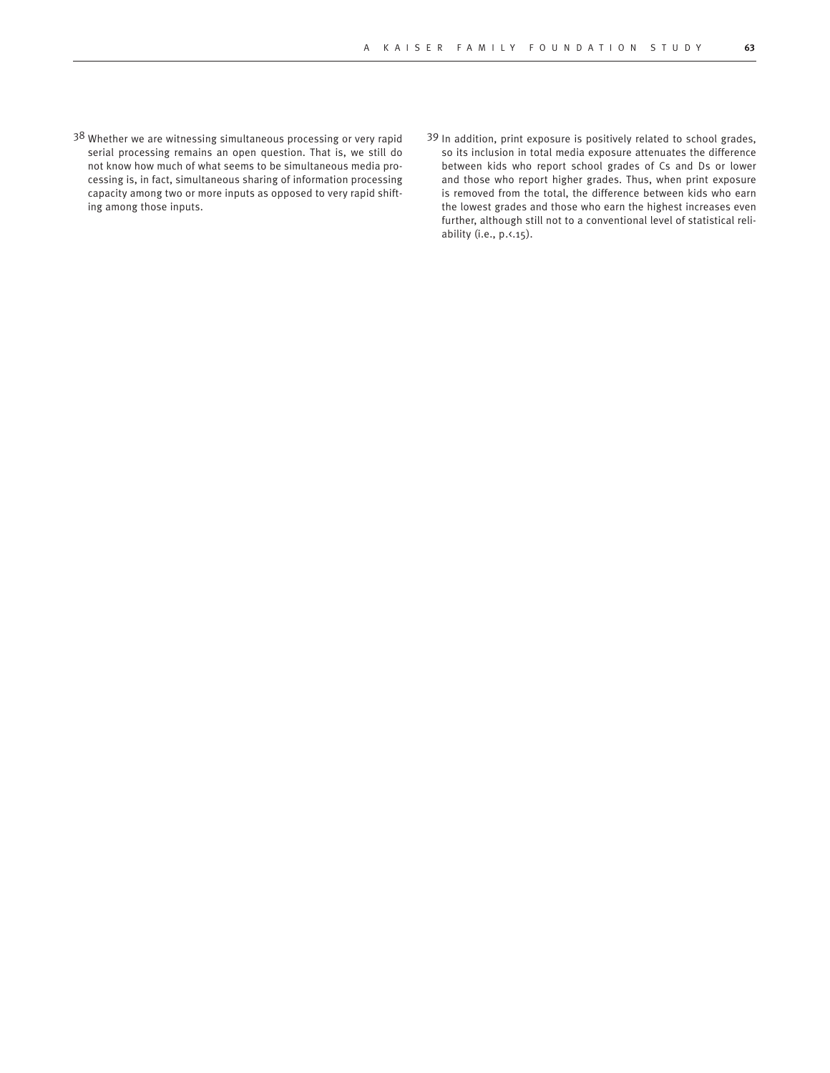- 38 Whether we are witnessing simultaneous processing or very rapid serial processing remains an open question. That is, we still do not know how much of what seems to be simultaneous media processing is, in fact, simultaneous sharing of information processing capacity among two or more inputs as opposed to very rapid shifting among those inputs.
- 39 In addition, print exposure is positively related to school grades, so its inclusion in total media exposure attenuates the difference between kids who report school grades of Cs and Ds or lower and those who report higher grades. Thus, when print exposure is removed from the total, the difference between kids who earn the lowest grades and those who earn the highest increases even further, although still not to a conventional level of statistical reliability (i.e., p. <. 15).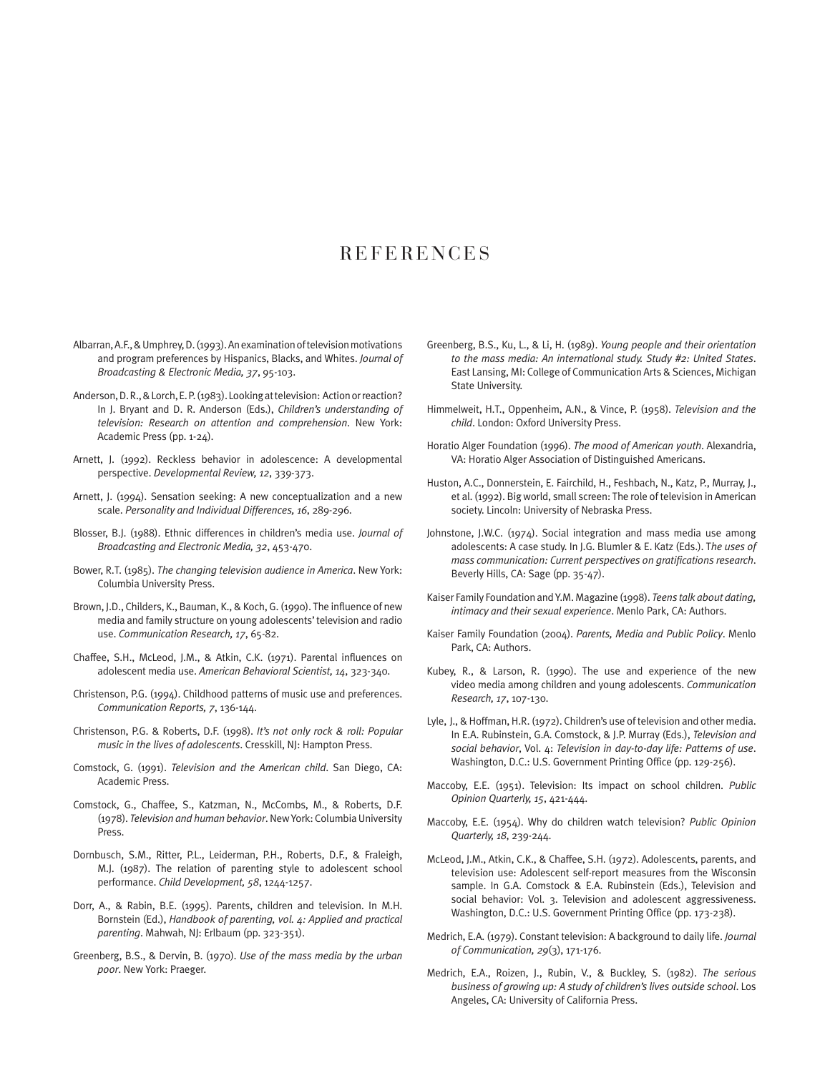## **REFERENCES**

- Albarran, A.F., & Umphrey, D. (1993). An examination of television motivations and program preferences by Hispanics, Blacks, and Whites. *Journal of Broadcasting & Electronic Media, 37*, 95-103.
- Anderson, D. R., & Lorch, E. P. (1983). Looking at television: Action or reaction? In J. Bryant and D. R. Anderson (Eds.), *Children's understanding of television: Research on attention and comprehension*. New York: Academic Press (pp. 1-24).
- Arnett, J. (1992). Reckless behavior in adolescence: A developmental perspective. *Developmental Review, 12*, 339-373.
- Arnett, J. (1994). Sensation seeking: A new conceptualization and a new scale. *Personality and Individual Differences, 16*, 289-296.
- Blosser, B.J. (1988). Ethnic differences in children's media use. *Journal of Broadcasting and Electronic Media, 32*, 453-470.
- Bower, R.T. (1985). *The changing television audience in America*. New York: Columbia University Press.
- Brown, J.D., Childers, K., Bauman, K., & Koch, G. (1990). The influence of new media and family structure on young adolescents' television and radio use. *Communication Research, 17*, 65-82.
- Chaffee, S.H., McLeod, J.M., & Atkin, C.K. (1971). Parental influences on adolescent media use. *American Behavioral Scientist, 14*, 323-340.
- Christenson, P.G. (1994). Childhood patterns of music use and preferences. *Communication Reports, 7*, 136-144.
- Christenson, P.G. & Roberts, D.F. (1998). *It's not only rock & roll: Popular music in the lives of adolescents*. Cresskill, NJ: Hampton Press.
- Comstock, G. (1991). *Television and the American child*. San Diego, CA: Academic Press.
- Comstock, G., Chaffee, S., Katzman, N., McCombs, M., & Roberts, D.F. (1978). *Television and human behavior*. New York: Columbia University Press.
- Dornbusch, S.M., Ritter, P.L., Leiderman, P.H., Roberts, D.F., & Fraleigh, M.J. (1987). The relation of parenting style to adolescent school performance. *Child Development, 58*, 1244-1257.
- Dorr, A., & Rabin, B.E. (1995). Parents, children and television. In M.H. Bornstein (Ed.), *Handbook of parenting, vol. 4: Applied and practical parenting*. Mahwah, NJ: Erlbaum (pp. 323-351).
- Greenberg, B.S., & Dervin, B. (1970). *Use of the mass media by the urban poor*. New York: Praeger.
- Greenberg, B.S., Ku, L., & Li, H. (1989). *Young people and their orientation to the mass media: An international study. Study #2: United States*. East Lansing, MI: College of Communication Arts & Sciences, Michigan State University.
- Himmelweit, H.T., Oppenheim, A.N., & Vince, P. (1958). *Television and the child*. London: Oxford University Press.
- Horatio Alger Foundation (1996). *The mood of American youth*. Alexandria, VA: Horatio Alger Association of Distinguished Americans.
- Huston, A.C., Donnerstein, E. Fairchild, H., Feshbach, N., Katz, P., Murray, J., et al. (1992). Big world, small screen: The role of television in American society. Lincoln: University of Nebraska Press.
- Johnstone, J.W.C. (1974). Social integration and mass media use among adolescents: A case study. In J.G. Blumler & E. Katz (Eds.). T*he uses of mass communication: Current perspectives on gratifications research*. Beverly Hills, CA: Sage (pp. 35-47).
- Kaiser Family Foundation and Y.M. Magazine (1998). *Teens talk about dating, intimacy and their sexual experience*. Menlo Park, CA: Authors.
- Kaiser Family Foundation (2004). *Parents, Media and Public Policy*. Menlo Park, CA: Authors.
- Kubey, R., & Larson, R. (1990). The use and experience of the new video media among children and young adolescents. *Communication Research, 17*, 107-130.
- Lyle, J., & Hoffman, H.R. (1972). Children's use of television and other media. In E.A. Rubinstein, G.A. Comstock, & J.P. Murray (Eds.), *Television and social behavior*, Vol. 4: *Television in day-to-day life: Patterns of use*. Washington, D.C.: U.S. Government Printing Office (pp. 129-256).
- Maccoby, E.E. (1951). Television: Its impact on school children. *Public Opinion Quarterly, 15*, 421-444.
- Maccoby, E.E. (1954). Why do children watch television? *Public Opinion Quarterly, 18*, 239-244.
- McLeod, J.M., Atkin, C.K., & Chaffee, S.H. (1972). Adolescents, parents, and television use: Adolescent self-report measures from the Wisconsin sample. In G.A. Comstock & E.A. Rubinstein (Eds.), Television and social behavior: Vol. 3. Television and adolescent aggressiveness. Washington, D.C.: U.S. Government Printing Office (pp. 173-238).
- Medrich, E.A. (1979). Constant television: A background to daily life. *Journal of Communication, 29*(3), 171-176.
- Medrich, E.A., Roizen, J., Rubin, V., & Buckley, S. (1982). *The serious business of growing up: A study of children's lives outside school*. Los Angeles, CA: University of California Press.